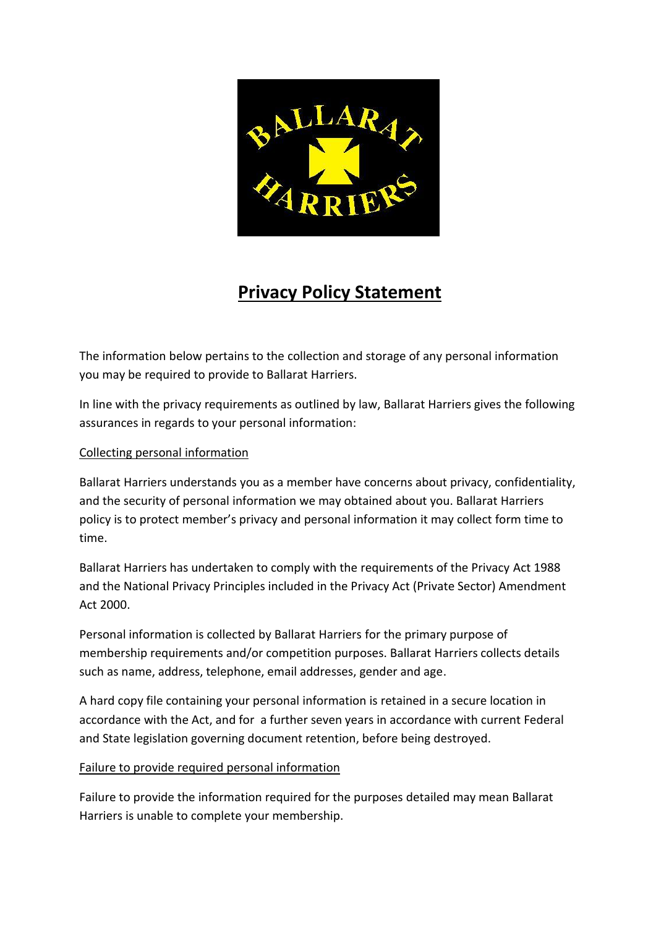

# **Privacy Policy Statement**

The information below pertains to the collection and storage of any personal information you may be required to provide to Ballarat Harriers.

In line with the privacy requirements as outlined by law, Ballarat Harriers gives the following assurances in regards to your personal information:

## Collecting personal information

Ballarat Harriers understands you as a member have concerns about privacy, confidentiality, and the security of personal information we may obtained about you. Ballarat Harriers policy is to protect member's privacy and personal information it may collect form time to time.

Ballarat Harriers has undertaken to comply with the requirements of the Privacy Act 1988 and the National Privacy Principles included in the Privacy Act (Private Sector) Amendment Act 2000.

Personal information is collected by Ballarat Harriers for the primary purpose of membership requirements and/or competition purposes. Ballarat Harriers collects details such as name, address, telephone, email addresses, gender and age.

A hard copy file containing your personal information is retained in a secure location in accordance with the Act, and for a further seven years in accordance with current Federal and State legislation governing document retention, before being destroyed.

## Failure to provide required personal information

Failure to provide the information required for the purposes detailed may mean Ballarat Harriers is unable to complete your membership.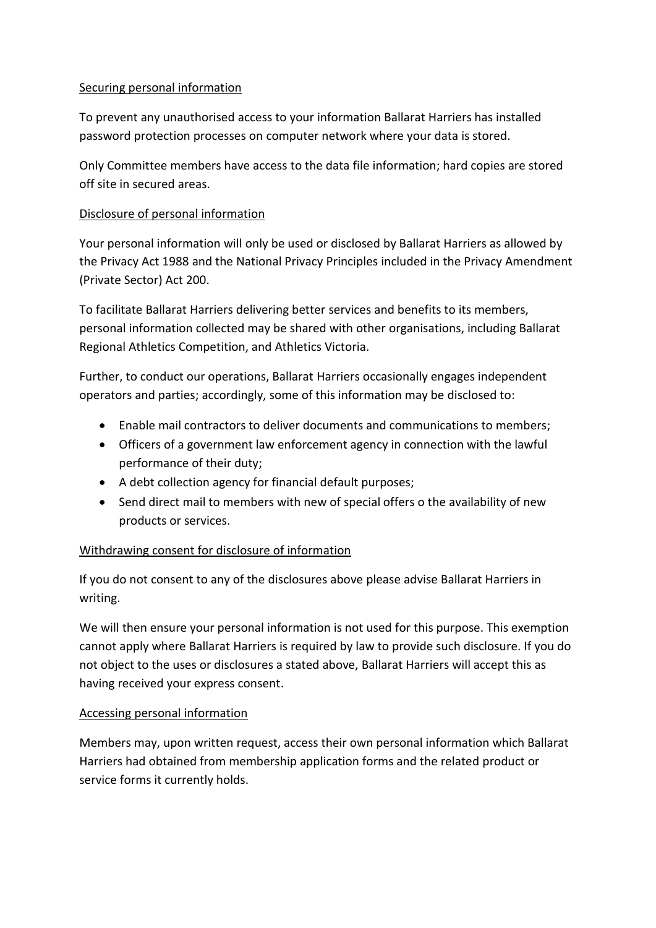## Securing personal information

To prevent any unauthorised access to your information Ballarat Harriers has installed password protection processes on computer network where your data is stored.

Only Committee members have access to the data file information; hard copies are stored off site in secured areas.

## Disclosure of personal information

Your personal information will only be used or disclosed by Ballarat Harriers as allowed by the Privacy Act 1988 and the National Privacy Principles included in the Privacy Amendment (Private Sector) Act 200.

To facilitate Ballarat Harriers delivering better services and benefits to its members, personal information collected may be shared with other organisations, including Ballarat Regional Athletics Competition, and Athletics Victoria.

Further, to conduct our operations, Ballarat Harriers occasionally engages independent operators and parties; accordingly, some of this information may be disclosed to:

- Enable mail contractors to deliver documents and communications to members;
- Officers of a government law enforcement agency in connection with the lawful performance of their duty;
- A debt collection agency for financial default purposes;
- Send direct mail to members with new of special offers o the availability of new products or services.

# Withdrawing consent for disclosure of information

If you do not consent to any of the disclosures above please advise Ballarat Harriers in writing.

We will then ensure your personal information is not used for this purpose. This exemption cannot apply where Ballarat Harriers is required by law to provide such disclosure. If you do not object to the uses or disclosures a stated above, Ballarat Harriers will accept this as having received your express consent.

## Accessing personal information

Members may, upon written request, access their own personal information which Ballarat Harriers had obtained from membership application forms and the related product or service forms it currently holds.